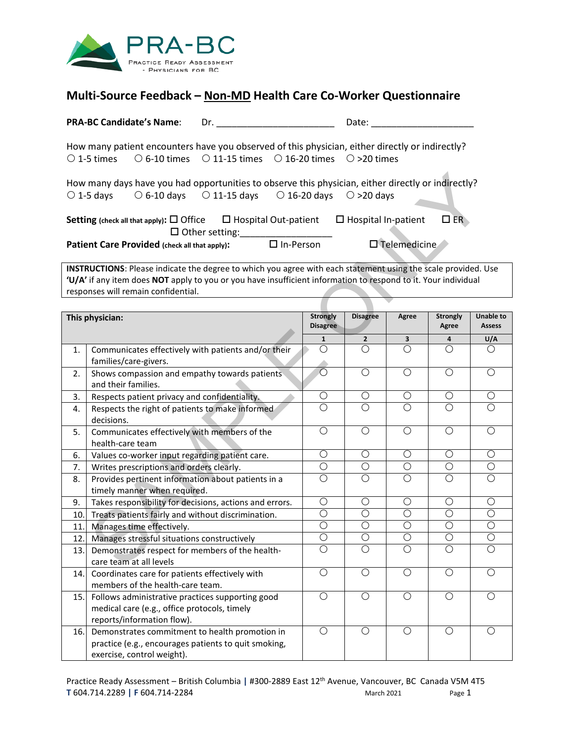

## **Multi-Source Feedback – Non-MD Health Care Co-Worker Questionnaire**

| <b>PRA-BC Candidate's Name:</b> |                                               | Dr.                                                                                                |                  | Date:                                                                                              |              |
|---------------------------------|-----------------------------------------------|----------------------------------------------------------------------------------------------------|------------------|----------------------------------------------------------------------------------------------------|--------------|
|                                 |                                               | $\circ$ 1-5 times $\circ$ 6-10 times $\circ$ 11-15 times $\circ$ 16-20 times $\circ$ >20 times     |                  | How many patient encounters have you observed of this physician, either directly or indirectly?    |              |
|                                 |                                               | $\circ$ 1-5 days $\circ$ 6-10 days $\circ$ 11-15 days $\circ$ 16-20 days $\circ$ >20 days          |                  | How many days have you had opportunities to observe this physician, either directly or indirectly? |              |
|                                 |                                               | Setting (check all that apply): $\Box$ Office $\Box$ Hospital Out-patient<br>$\Box$ Other setting: |                  | $\Box$ Hospital In-patient                                                                         | $\square$ ER |
|                                 | Patient Care Provided (check all that apply): |                                                                                                    | $\Box$ In-Person | $\square$ Telemedicine                                                                             |              |

| How many days have you had opportunities to observe this physician, either directly or indirectly?<br>$\bigcirc$ 11-15 days $\bigcirc$ 16-20 days $\bigcirc$ >20 days<br>$\circ$ 1-5 days<br>$\circ$ 6-10 days                                                         |                                                                                                                                      |                                    |                                                                        |                       |                          |                                   |  |
|------------------------------------------------------------------------------------------------------------------------------------------------------------------------------------------------------------------------------------------------------------------------|--------------------------------------------------------------------------------------------------------------------------------------|------------------------------------|------------------------------------------------------------------------|-----------------------|--------------------------|-----------------------------------|--|
| Setting (check all that apply): $\Box$ Office                                                                                                                                                                                                                          |                                                                                                                                      |                                    | $\square$ ER<br>$\Box$ Hospital Out-patient $\Box$ Hospital In-patient |                       |                          |                                   |  |
| $\Box$ Other setting:<br>$\Box$ In-Person<br><b>D</b> Telemedicine<br>Patient Care Provided (check all that apply):                                                                                                                                                    |                                                                                                                                      |                                    |                                                                        |                       |                          |                                   |  |
| INSTRUCTIONS: Please indicate the degree to which you agree with each statement using the scale provided. Use<br>'U/A' if any item does NOT apply to you or you have insufficient information to respond to it. Your individual<br>responses will remain confidential. |                                                                                                                                      |                                    |                                                                        |                       |                          |                                   |  |
|                                                                                                                                                                                                                                                                        |                                                                                                                                      |                                    |                                                                        |                       |                          |                                   |  |
| This physician:                                                                                                                                                                                                                                                        |                                                                                                                                      | <b>Strongly</b><br><b>Disagree</b> | <b>Disagree</b>                                                        | Agree                 | <b>Strongly</b><br>Agree | <b>Unable to</b><br><b>Assess</b> |  |
|                                                                                                                                                                                                                                                                        |                                                                                                                                      | $\mathbf 1$                        | $\overline{2}$                                                         | 3                     | 4                        | U/A                               |  |
| 1.                                                                                                                                                                                                                                                                     | Communicates effectively with patients and/or their<br>families/care-givers.                                                         | О                                  | Ω                                                                      | О                     | Ω                        | O                                 |  |
| 2.                                                                                                                                                                                                                                                                     | Shows compassion and empathy towards patients<br>and their families.                                                                 | $\overline{\circ}$                 | $\overline{O}$                                                         | $\overline{O}$        | $\overline{O}$           | $\overline{O}$                    |  |
| 3.                                                                                                                                                                                                                                                                     | Respects patient privacy and confidentiality.                                                                                        | $\bigcirc$                         | О                                                                      | $\bigcirc$            | $\bigcirc$               | $\bigcirc$                        |  |
| 4.                                                                                                                                                                                                                                                                     | Respects the right of patients to make informed<br>decisions.                                                                        | $\overline{O}$                     | $\overline{\bigcirc}$                                                  | $\overline{\bigcirc}$ | $\overline{\bigcirc}$    | $\overline{\bigcirc}$             |  |
| 5.                                                                                                                                                                                                                                                                     | Communicates effectively with members of the<br>health-care team                                                                     | $\overline{O}$                     | $\overline{O}$                                                         | $\overline{O}$        | $\overline{O}$           | $\overline{O}$                    |  |
| 6.                                                                                                                                                                                                                                                                     | Values co-worker input regarding patient care.                                                                                       | $\overline{O}$                     | $\bigcirc$                                                             | $\overline{O}$        | O                        | $\overline{O}$                    |  |
| 7.                                                                                                                                                                                                                                                                     | Writes prescriptions and orders clearly.                                                                                             | $\overline{O}$                     | О                                                                      | $\overline{O}$        | O                        | $\overline{\bigcirc}$             |  |
| 8.                                                                                                                                                                                                                                                                     | Provides pertinent information about patients in a<br>timely manner when required.                                                   | $\overline{O}$                     | $\overline{O}$                                                         | $\overline{\bigcirc}$ | $\overline{O}$           | $\overline{\bigcirc}$             |  |
| 9.                                                                                                                                                                                                                                                                     | Takes responsibility for decisions, actions and errors.                                                                              | $\bigcirc$                         | $\bigcirc$                                                             | $\bigcirc$            | O                        | $\bigcirc$                        |  |
| 10.                                                                                                                                                                                                                                                                    | Treats patients fairly and without discrimination.                                                                                   | $\overline{O}$                     | $\overline{\bigcirc}$                                                  | $\overline{O}$        | $\overline{O}$           | $\overline{\bigcirc}$             |  |
| 11.                                                                                                                                                                                                                                                                    | Manages time effectively.                                                                                                            | $\overline{O}$                     | $\overline{O}$                                                         | $\overline{O}$        | $\overline{O}$           | $\overline{O}$                    |  |
| 12.                                                                                                                                                                                                                                                                    | Manages stressful situations constructively                                                                                          | $\overline{\bigcirc}$              | О                                                                      | О                     | О                        | О                                 |  |
| 13.                                                                                                                                                                                                                                                                    | Demonstrates respect for members of the health-<br>care team at all levels                                                           | $\overline{O}$                     | $\bigcirc$                                                             | $\overline{O}$        | $\overline{O}$           | $\overline{O}$                    |  |
| 14.                                                                                                                                                                                                                                                                    | Coordinates care for patients effectively with<br>members of the health-care team.                                                   | $\bigcirc$                         | $\bigcirc$                                                             | $\bigcirc$            | $\bigcirc$               | $\bigcirc$                        |  |
| 15.                                                                                                                                                                                                                                                                    | Follows administrative practices supporting good<br>medical care (e.g., office protocols, timely<br>reports/information flow).       | $\overline{O}$                     | $\overline{O}$                                                         | $\overline{O}$        | $\overline{O}$           | $\overline{O}$                    |  |
| 16.                                                                                                                                                                                                                                                                    | Demonstrates commitment to health promotion in<br>practice (e.g., encourages patients to quit smoking,<br>exercise, control weight). | $\overline{O}$                     | $\overline{O}$                                                         | $\overline{O}$        | $\overline{O}$           | $\overline{O}$                    |  |